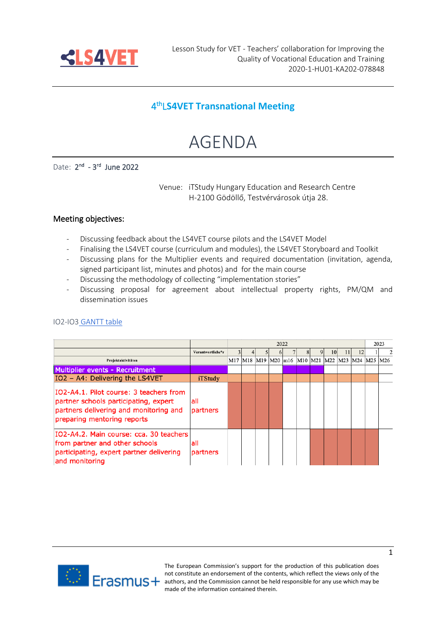

## 4 thL**S4VET Transnational Meeting**

# AGENDA

Date: 2<sup>nd</sup> - 3<sup>rd</sup> June 2022

Venue: iTStudy Hungary Education and Research Centre H-2100 Gödöllő, Testvérvárosok útja 28.

#### Meeting objectives:

- Discussing feedback about the LS4VET course pilots and the LS4VET Model
- Finalising the LS4VET course (curriculum and modules), the LS4VET Storyboard and Toolkit
- Discussing plans for the Multiplier events and required documentation (invitation, agenda, signed participant list, minutes and photos) and for the main course
- Discussing the methodology of collecting "implementation stories"
- Discussing proposal for agreement about intellectual property rights, PM/QM and dissemination issues

| IO2-IO3 GANTT table |  |  |
|---------------------|--|--|
|                     |  |  |

|                                                                                                                                                           |                   | 2022                                                       |  |  |  |  | 2023 |    |    |  |   |
|-----------------------------------------------------------------------------------------------------------------------------------------------------------|-------------------|------------------------------------------------------------|--|--|--|--|------|----|----|--|---|
|                                                                                                                                                           | Verantwortliche*r |                                                            |  |  |  |  |      | 10 | 12 |  | 2 |
| Projektaktivitäten                                                                                                                                        |                   | M17  M18  M19  M20  m16  M10  M21  M22  M23  M24  M25  M26 |  |  |  |  |      |    |    |  |   |
| Multiplier events - Recruitment                                                                                                                           |                   |                                                            |  |  |  |  |      |    |    |  |   |
| IO2 - A4: Delivering the LS4VET                                                                                                                           | iTStudy           |                                                            |  |  |  |  |      |    |    |  |   |
| IO2-A4.1. Pilot course: 3 teachers from<br>partner schools participating, expert<br>partners delivering and monitoring and<br>preparing mentoring reports | all<br>partners   |                                                            |  |  |  |  |      |    |    |  |   |
| IO2-A4.2. Main course: cca. 30 teachers<br>from partner and other schools<br>participating, expert partner delivering<br>and monitoring                   | all<br>partners   |                                                            |  |  |  |  |      |    |    |  |   |



The European Commission's support for the production of this publication does not constitute an endorsement of the contents, which reflect the views only of the **ALCORIMUS** + authors, and the Commission cannot be held responsible for any use which may be made of the information contained therein.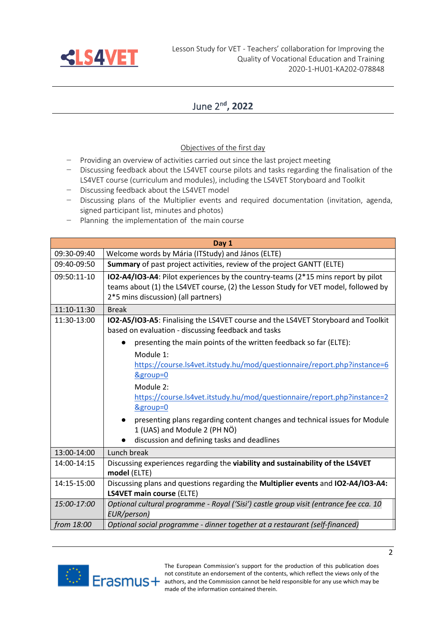

## June 2<sup>n</sup>**<sup>d</sup> , 2022**

### Objectives of the first day

- − Providing an overview of activities carried out since the last project meeting
- − Discussing feedback about the LS4VET course pilots and tasks regarding the finalisation of the LS4VET course (curriculum and modules), including the LS4VET Storyboard and Toolkit
- − Discussing feedback about the LS4VET model
- − Discussing plans of the Multiplier events and required documentation (invitation, agenda, signed participant list, minutes and photos)
- − Planning the implementation of the main course

|             | Day 1                                                                                                                                                                                                         |
|-------------|---------------------------------------------------------------------------------------------------------------------------------------------------------------------------------------------------------------|
| 09:30-09:40 | Welcome words by Mária (ITStudy) and János (ELTE)                                                                                                                                                             |
| 09:40-09:50 | Summary of past project activities, review of the project GANTT (ELTE)                                                                                                                                        |
| 09:50:11-10 | IO2-A4/IO3-A4: Pilot experiences by the country-teams (2*15 mins report by pilot<br>teams about (1) the LS4VET course, (2) the Lesson Study for VET model, followed by<br>2*5 mins discussion) (all partners) |
| 11:10-11:30 | <b>Break</b>                                                                                                                                                                                                  |
| 11:30-13:00 | IO2-A5/IO3-A5: Finalising the LS4VET course and the LS4VET Storyboard and Toolkit<br>based on evaluation - discussing feedback and tasks                                                                      |
|             | presenting the main points of the written feedback so far (ELTE):                                                                                                                                             |
|             | Module 1:<br>https://course.ls4vet.itstudy.hu/mod/questionnaire/report.php?instance=6<br>&group=0<br>Module 2:<br>https://course.ls4vet.itstudy.hu/mod/questionnaire/report.php?instance=2                    |
|             | &group=0<br>presenting plans regarding content changes and technical issues for Module<br>1 (UAS) and Module 2 (PH NÖ)<br>discussion and defining tasks and deadlines                                         |
| 13:00-14:00 | Lunch break                                                                                                                                                                                                   |
| 14:00-14:15 | Discussing experiences regarding the viability and sustainability of the LS4VET<br>model (ELTE)                                                                                                               |
| 14:15-15:00 | Discussing plans and questions regarding the Multiplier events and IO2-A4/IO3-A4:<br><b>LS4VET main course (ELTE)</b>                                                                                         |
| 15:00-17:00 | Optional cultural programme - Royal ('Sisi') castle group visit (entrance fee cca. 10<br>EUR/person)                                                                                                          |
| from 18:00  | Optional social programme - dinner together at a restaurant (self-financed)                                                                                                                                   |



The European Commission's support for the production of this publication does not constitute an endorsement of the contents, which reflect the views only of the **ALCORIMUS** + authors, and the Commission cannot be held responsible for any use which may be made of the information contained therein.